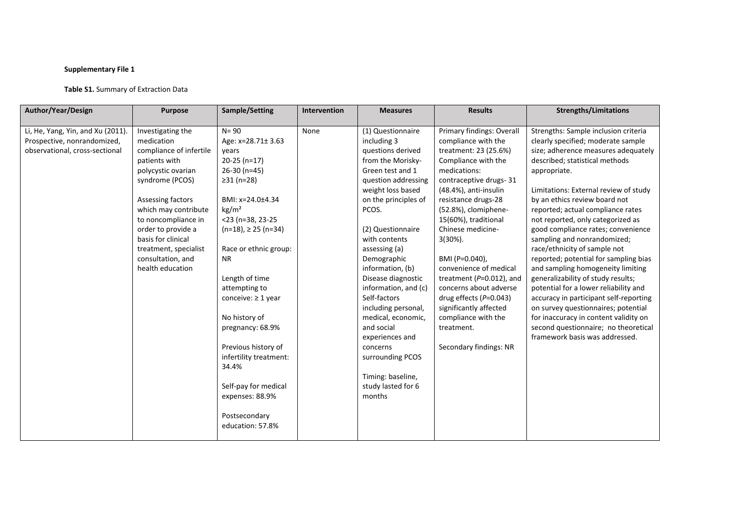# **Supplementary File 1**

# **Table S1.** Summary of Extraction Data

| Author/Year/Design                | <b>Purpose</b>          | Sample/Setting              | Intervention | <b>Measures</b>      | <b>Results</b>               | <b>Strengths/Limitations</b>           |
|-----------------------------------|-------------------------|-----------------------------|--------------|----------------------|------------------------------|----------------------------------------|
|                                   |                         | $N = 90$                    | None         |                      |                              |                                        |
| Li, He, Yang, Yin, and Xu (2011). | Investigating the       |                             |              | (1) Questionnaire    | Primary findings: Overall    | Strengths: Sample inclusion criteria   |
| Prospective, nonrandomized,       | medication              | Age: x=28.71±3.63           |              | including 3          | compliance with the          | clearly specified; moderate sample     |
| observational, cross-sectional    | compliance of infertile | years                       |              | questions derived    | treatment: 23 (25.6%)        | size; adherence measures adequately    |
|                                   | patients with           | $20-25$ (n=17)              |              | from the Morisky-    | Compliance with the          | described; statistical methods         |
|                                   | polycystic ovarian      | 26-30 (n=45)                |              | Green test and 1     | medications:                 | appropriate.                           |
|                                   | syndrome (PCOS)         | ≥31 (n=28)                  |              | question addressing  | contraceptive drugs-31       |                                        |
|                                   |                         |                             |              | weight loss based    | (48.4%), anti-insulin        | Limitations: External review of study  |
|                                   | Assessing factors       | BMI: x=24.0±4.34            |              | on the principles of | resistance drugs-28          | by an ethics review board not          |
|                                   | which may contribute    | kg/m <sup>2</sup>           |              | PCOS.                | (52.8%), clomiphene-         | reported; actual compliance rates      |
|                                   | to noncompliance in     | $<$ 23 (n=38, 23-25         |              |                      | 15(60%), traditional         | not reported, only categorized as      |
|                                   | order to provide a      | $(n=18)$ , $\geq$ 25 (n=34) |              | (2) Questionnaire    | Chinese medicine-            | good compliance rates; convenience     |
|                                   | basis for clinical      |                             |              | with contents        | $3(30\%).$                   | sampling and nonrandomized;            |
|                                   | treatment, specialist   | Race or ethnic group:       |              | assessing (a)        |                              | race/ethnicity of sample not           |
|                                   | consultation, and       | <b>NR</b>                   |              | Demographic          | BMI (P=0.040),               | reported; potential for sampling bias  |
|                                   | health education        |                             |              | information, (b)     | convenience of medical       | and sampling homogeneity limiting      |
|                                   |                         | Length of time              |              | Disease diagnostic   | treatment ( $P=0.012$ ), and | generalizability of study results;     |
|                                   |                         | attempting to               |              | information, and (c) | concerns about adverse       | potential for a lower reliability and  |
|                                   |                         | conceive: $\geq 1$ year     |              | Self-factors         | drug effects $(P=0.043)$     | accuracy in participant self-reporting |
|                                   |                         |                             |              | including personal,  | significantly affected       | on survey questionnaires; potential    |
|                                   |                         | No history of               |              | medical, economic,   | compliance with the          | for inaccuracy in content validity on  |
|                                   |                         | pregnancy: 68.9%            |              | and social           | treatment.                   | second questionnaire; no theoretical   |
|                                   |                         |                             |              | experiences and      |                              | framework basis was addressed.         |
|                                   |                         | Previous history of         |              | concerns             | Secondary findings: NR       |                                        |
|                                   |                         | infertility treatment:      |              | surrounding PCOS     |                              |                                        |
|                                   |                         | 34.4%                       |              |                      |                              |                                        |
|                                   |                         |                             |              | Timing: baseline,    |                              |                                        |
|                                   |                         | Self-pay for medical        |              | study lasted for 6   |                              |                                        |
|                                   |                         | expenses: 88.9%             |              | months               |                              |                                        |
|                                   |                         |                             |              |                      |                              |                                        |
|                                   |                         | Postsecondary               |              |                      |                              |                                        |
|                                   |                         | education: 57.8%            |              |                      |                              |                                        |
|                                   |                         |                             |              |                      |                              |                                        |
|                                   |                         |                             |              |                      |                              |                                        |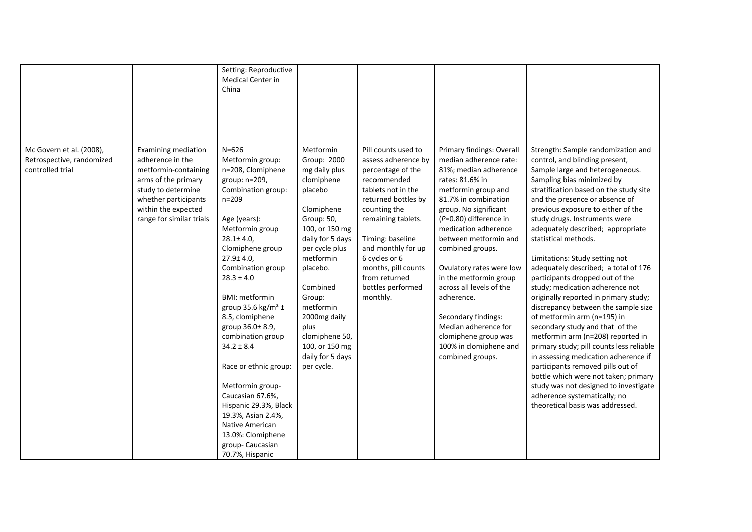|                                                                           |                                                                                                                                                                                                | Setting: Reproductive<br><b>Medical Center in</b><br>China                                                                                                                                                                                                                                                                                                                                                                                                                                                                                                                              |                                                                                                                                                                                                                                                                                                                  |                                                                                                                                                                                                                                                                                                       |                                                                                                                                                                                                                                                                                                                                                                                                                                                                                             |                                                                                                                                                                                                                                                                                                                                                                                                                                                                                                                                                                                                                                                                                                                                                                                                                                                                                                                                                                            |
|---------------------------------------------------------------------------|------------------------------------------------------------------------------------------------------------------------------------------------------------------------------------------------|-----------------------------------------------------------------------------------------------------------------------------------------------------------------------------------------------------------------------------------------------------------------------------------------------------------------------------------------------------------------------------------------------------------------------------------------------------------------------------------------------------------------------------------------------------------------------------------------|------------------------------------------------------------------------------------------------------------------------------------------------------------------------------------------------------------------------------------------------------------------------------------------------------------------|-------------------------------------------------------------------------------------------------------------------------------------------------------------------------------------------------------------------------------------------------------------------------------------------------------|---------------------------------------------------------------------------------------------------------------------------------------------------------------------------------------------------------------------------------------------------------------------------------------------------------------------------------------------------------------------------------------------------------------------------------------------------------------------------------------------|----------------------------------------------------------------------------------------------------------------------------------------------------------------------------------------------------------------------------------------------------------------------------------------------------------------------------------------------------------------------------------------------------------------------------------------------------------------------------------------------------------------------------------------------------------------------------------------------------------------------------------------------------------------------------------------------------------------------------------------------------------------------------------------------------------------------------------------------------------------------------------------------------------------------------------------------------------------------------|
| Mc Govern et al. (2008),<br>Retrospective, randomized<br>controlled trial | <b>Examining mediation</b><br>adherence in the<br>metformin-containing<br>arms of the primary<br>study to determine<br>whether participants<br>within the expected<br>range for similar trials | $N = 626$<br>Metformin group:<br>n=208, Clomiphene<br>group: n=209,<br>Combination group:<br>$n = 209$<br>Age (years):<br>Metformin group<br>$28.1 \pm 4.0$ ,<br>Clomiphene group<br>$27.9 \pm 4.0$ ,<br>Combination group<br>$28.3 \pm 4.0$<br><b>BMI: metformin</b><br>group 35.6 kg/m <sup>2</sup> $\pm$<br>8.5, clomiphene<br>group 36.0± 8.9,<br>combination group<br>$34.2 \pm 8.4$<br>Race or ethnic group:<br>Metformin group-<br>Caucasian 67.6%,<br>Hispanic 29.3%, Black<br>19.3%, Asian 2.4%,<br>Native American<br>13.0%: Clomiphene<br>group-Caucasian<br>70.7%, Hispanic | Metformin<br>Group: 2000<br>mg daily plus<br>clomiphene<br>placebo<br>Clomiphene<br>Group: 50,<br>100, or 150 mg<br>daily for 5 days<br>per cycle plus<br>metformin<br>placebo.<br>Combined<br>Group:<br>metformin<br>2000mg daily<br>plus<br>clomiphene 50,<br>100, or 150 mg<br>daily for 5 days<br>per cycle. | Pill counts used to<br>assess adherence by<br>percentage of the<br>recommended<br>tablets not in the<br>returned bottles by<br>counting the<br>remaining tablets.<br>Timing: baseline<br>and monthly for up<br>6 cycles or 6<br>months, pill counts<br>from returned<br>bottles performed<br>monthly. | Primary findings: Overall<br>median adherence rate:<br>81%; median adherence<br>rates: 81.6% in<br>metformin group and<br>81.7% in combination<br>group. No significant<br>(P=0.80) difference in<br>medication adherence<br>between metformin and<br>combined groups.<br>Ovulatory rates were low<br>in the metformin group<br>across all levels of the<br>adherence.<br>Secondary findings:<br>Median adherence for<br>clomiphene group was<br>100% in clomiphene and<br>combined groups. | Strength: Sample randomization and<br>control, and blinding present,<br>Sample large and heterogeneous.<br>Sampling bias minimized by<br>stratification based on the study site<br>and the presence or absence of<br>previous exposure to either of the<br>study drugs. Instruments were<br>adequately described; appropriate<br>statistical methods.<br>Limitations: Study setting not<br>adequately described; a total of 176<br>participants dropped out of the<br>study; medication adherence not<br>originally reported in primary study;<br>discrepancy between the sample size<br>of metformin arm (n=195) in<br>secondary study and that of the<br>metformin arm (n=208) reported in<br>primary study; pill counts less reliable<br>in assessing medication adherence if<br>participants removed pills out of<br>bottle which were not taken; primary<br>study was not designed to investigate<br>adherence systematically; no<br>theoretical basis was addressed. |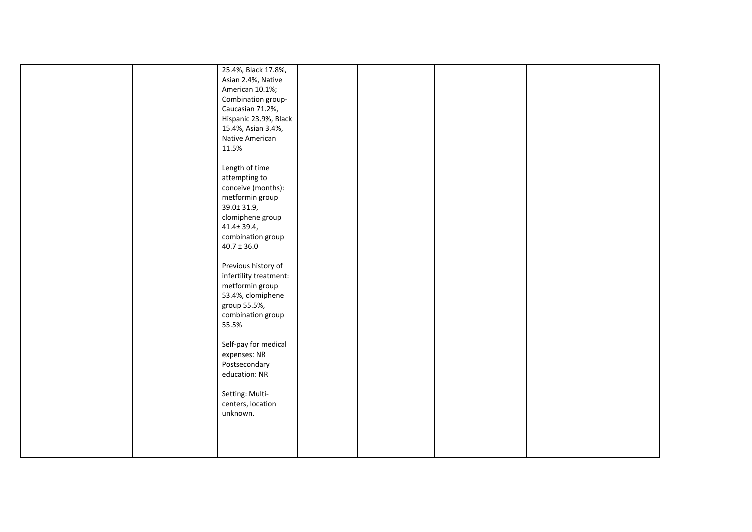|  | 25.4%, Black 17.8%,    |  |  |
|--|------------------------|--|--|
|  | Asian 2.4%, Native     |  |  |
|  | American 10.1%;        |  |  |
|  | Combination group-     |  |  |
|  | Caucasian 71.2%,       |  |  |
|  | Hispanic 23.9%, Black  |  |  |
|  | 15.4%, Asian 3.4%,     |  |  |
|  | Native American        |  |  |
|  | 11.5%                  |  |  |
|  |                        |  |  |
|  | Length of time         |  |  |
|  |                        |  |  |
|  | attempting to          |  |  |
|  | conceive (months):     |  |  |
|  | metformin group        |  |  |
|  | 39.0± 31.9,            |  |  |
|  | clomiphene group       |  |  |
|  | 41.4± 39.4,            |  |  |
|  | combination group      |  |  |
|  | $40.7 \pm 36.0$        |  |  |
|  |                        |  |  |
|  | Previous history of    |  |  |
|  | infertility treatment: |  |  |
|  | metformin group        |  |  |
|  | 53.4%, clomiphene      |  |  |
|  | group 55.5%,           |  |  |
|  |                        |  |  |
|  | combination group      |  |  |
|  | 55.5%                  |  |  |
|  |                        |  |  |
|  | Self-pay for medical   |  |  |
|  | expenses: NR           |  |  |
|  | Postsecondary          |  |  |
|  | education: NR          |  |  |
|  |                        |  |  |
|  | Setting: Multi-        |  |  |
|  | centers, location      |  |  |
|  | unknown.               |  |  |
|  |                        |  |  |
|  |                        |  |  |
|  |                        |  |  |
|  |                        |  |  |
|  |                        |  |  |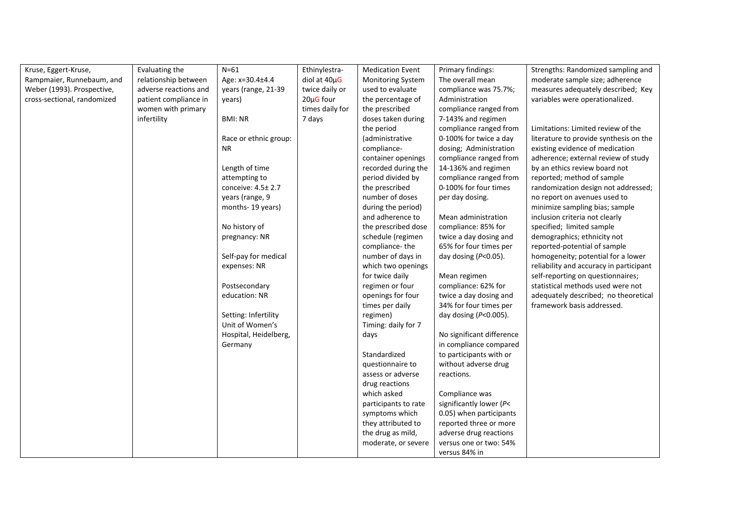| Kruse, Eggert-Kruse,        | Evaluating the        | $N=61$                | Ethinylestra-     | <b>Medication Event</b>  | Primary findings:         | Strengths: Randomized sampling and      |
|-----------------------------|-----------------------|-----------------------|-------------------|--------------------------|---------------------------|-----------------------------------------|
| Rampmaier, Runnebaum, and   | relationship between  | Age: x=30.4±4.4       | diol at $40\mu$ G | <b>Monitoring System</b> | The overall mean          | moderate sample size; adherence         |
| Weber (1993). Prospective,  | adverse reactions and | years (range, 21-39   | twice daily or    | used to evaluate         | compliance was 75.7%;     | measures adequately described; Key      |
| cross-sectional, randomized | patient compliance in | years)                | 20µG four         | the percentage of        | Administration            | variables were operationalized.         |
|                             | women with primary    |                       | times daily for   | the prescribed           | compliance ranged from    |                                         |
|                             | infertility           | <b>BMI: NR</b>        | 7 days            | doses taken during       | 7-143% and regimen        |                                         |
|                             |                       |                       |                   | the period               | compliance ranged from    | Limitations: Limited review of the      |
|                             |                       | Race or ethnic group: |                   | (administrative          | 0-100% for twice a day    | literature to provide synthesis on the  |
|                             |                       | NR.                   |                   | compliance-              | dosing; Administration    | existing evidence of medication         |
|                             |                       |                       |                   | container openings       | compliance ranged from    | adherence; external review of study     |
|                             |                       | Length of time        |                   | recorded during the      | 14-136% and regimen       | by an ethics review board not           |
|                             |                       | attempting to         |                   | period divided by        | compliance ranged from    | reported; method of sample              |
|                             |                       | conceive: 4.5± 2.7    |                   | the prescribed           | 0-100% for four times     | randomization design not addressed;     |
|                             |                       | years (range, 9       |                   | number of doses          | per day dosing.           | no report on avenues used to            |
|                             |                       | months-19 years)      |                   | during the period)       |                           | minimize sampling bias; sample          |
|                             |                       |                       |                   | and adherence to         | Mean administration       | inclusion criteria not clearly          |
|                             |                       | No history of         |                   | the prescribed dose      | compliance: 85% for       | specified; limited sample               |
|                             |                       | pregnancy: NR         |                   | schedule (regimen        | twice a day dosing and    | demographics; ethnicity not             |
|                             |                       |                       |                   | compliance-the           | 65% for four times per    | reported-potential of sample            |
|                             |                       | Self-pay for medical  |                   | number of days in        | day dosing $(P<0.05)$ .   | homogeneity; potential for a lower      |
|                             |                       | expenses: NR          |                   | which two openings       |                           | reliability and accuracy in participant |
|                             |                       |                       |                   | for twice daily          | Mean regimen              | self-reporting on questionnaires;       |
|                             |                       | Postsecondary         |                   | regimen or four          | compliance: 62% for       | statistical methods used were not       |
|                             |                       | education: NR         |                   | openings for four        | twice a day dosing and    | adequately described; no theoretical    |
|                             |                       |                       |                   | times per daily          | 34% for four times per    | framework basis addressed.              |
|                             |                       | Setting: Infertility  |                   | regimen)                 | day dosing $(P<0.005)$ .  |                                         |
|                             |                       | Unit of Women's       |                   | Timing: daily for 7      |                           |                                         |
|                             |                       | Hospital, Heidelberg, |                   | days                     | No significant difference |                                         |
|                             |                       | Germany               |                   |                          | in compliance compared    |                                         |
|                             |                       |                       |                   | Standardized             | to participants with or   |                                         |
|                             |                       |                       |                   | questionnaire to         | without adverse drug      |                                         |
|                             |                       |                       |                   | assess or adverse        | reactions.                |                                         |
|                             |                       |                       |                   | drug reactions           |                           |                                         |
|                             |                       |                       |                   | which asked              | Compliance was            |                                         |
|                             |                       |                       |                   | participants to rate     | significantly lower (P<   |                                         |
|                             |                       |                       |                   | symptoms which           | 0.05) when participants   |                                         |
|                             |                       |                       |                   | they attributed to       | reported three or more    |                                         |
|                             |                       |                       |                   | the drug as mild,        | adverse drug reactions    |                                         |
|                             |                       |                       |                   | moderate, or severe      | versus one or two: 54%    |                                         |
|                             |                       |                       |                   |                          | versus 84% in             |                                         |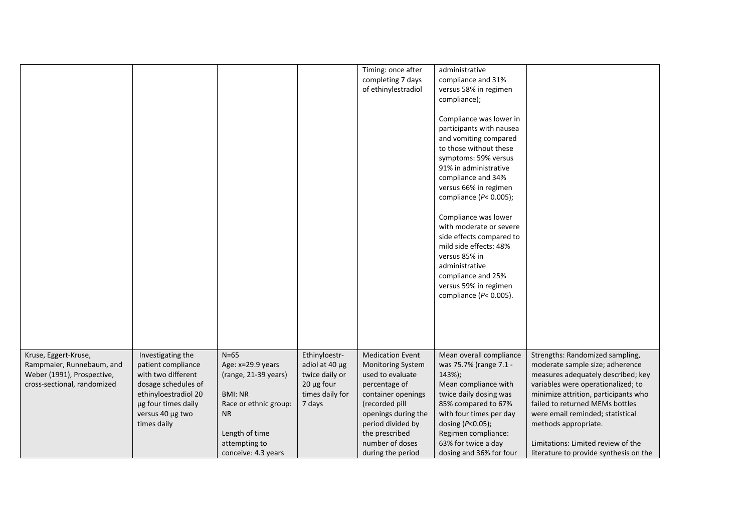|                             |                      |                       |                 | Timing: once after       | administrative             |                                        |
|-----------------------------|----------------------|-----------------------|-----------------|--------------------------|----------------------------|----------------------------------------|
|                             |                      |                       |                 | completing 7 days        | compliance and 31%         |                                        |
|                             |                      |                       |                 | of ethinylestradiol      | versus 58% in regimen      |                                        |
|                             |                      |                       |                 |                          | compliance);               |                                        |
|                             |                      |                       |                 |                          |                            |                                        |
|                             |                      |                       |                 |                          | Compliance was lower in    |                                        |
|                             |                      |                       |                 |                          | participants with nausea   |                                        |
|                             |                      |                       |                 |                          | and vomiting compared      |                                        |
|                             |                      |                       |                 |                          | to those without these     |                                        |
|                             |                      |                       |                 |                          | symptoms: 59% versus       |                                        |
|                             |                      |                       |                 |                          | 91% in administrative      |                                        |
|                             |                      |                       |                 |                          | compliance and 34%         |                                        |
|                             |                      |                       |                 |                          | versus 66% in regimen      |                                        |
|                             |                      |                       |                 |                          | compliance $(P< 0.005)$ ;  |                                        |
|                             |                      |                       |                 |                          |                            |                                        |
|                             |                      |                       |                 |                          | Compliance was lower       |                                        |
|                             |                      |                       |                 |                          | with moderate or severe    |                                        |
|                             |                      |                       |                 |                          | side effects compared to   |                                        |
|                             |                      |                       |                 |                          | mild side effects: 48%     |                                        |
|                             |                      |                       |                 |                          | versus 85% in              |                                        |
|                             |                      |                       |                 |                          | administrative             |                                        |
|                             |                      |                       |                 |                          | compliance and 25%         |                                        |
|                             |                      |                       |                 |                          |                            |                                        |
|                             |                      |                       |                 |                          | versus 59% in regimen      |                                        |
|                             |                      |                       |                 |                          | compliance ( $P$ < 0.005). |                                        |
|                             |                      |                       |                 |                          |                            |                                        |
|                             |                      |                       |                 |                          |                            |                                        |
|                             |                      |                       |                 |                          |                            |                                        |
|                             |                      |                       |                 |                          |                            |                                        |
|                             |                      |                       |                 |                          |                            |                                        |
| Kruse, Eggert-Kruse,        | Investigating the    | $N=65$                | Ethinyloestr-   | <b>Medication Event</b>  | Mean overall compliance    | Strengths: Randomized sampling,        |
| Rampmaier, Runnebaum, and   | patient compliance   | Age: x=29.9 years     | adiol at 40 µg  | <b>Monitoring System</b> | was 75.7% (range 7.1 -     | moderate sample size; adherence        |
| Weber (1991), Prospective,  | with two different   | (range, 21-39 years)  | twice daily or  | used to evaluate         | 143%);                     | measures adequately described; key     |
| cross-sectional, randomized | dosage schedules of  |                       | $20 \mu g$ four | percentage of            | Mean compliance with       | variables were operationalized; to     |
|                             | ethinyloestradiol 20 | <b>BMI: NR</b>        | times daily for | container openings       | twice daily dosing was     | minimize attrition, participants who   |
|                             | µg four times daily  | Race or ethnic group: | 7 days          | (recorded pill           | 85% compared to 67%        | failed to returned MEMs bottles        |
|                             | versus 40 µg two     | NR                    |                 | openings during the      | with four times per day    | were email reminded; statistical       |
|                             | times daily          |                       |                 | period divided by        | dosing (P<0.05);           | methods appropriate.                   |
|                             |                      | Length of time        |                 | the prescribed           | Regimen compliance:        |                                        |
|                             |                      | attempting to         |                 | number of doses          | 63% for twice a day        | Limitations: Limited review of the     |
|                             |                      | conceive: 4.3 years   |                 | during the period        | dosing and 36% for four    | literature to provide synthesis on the |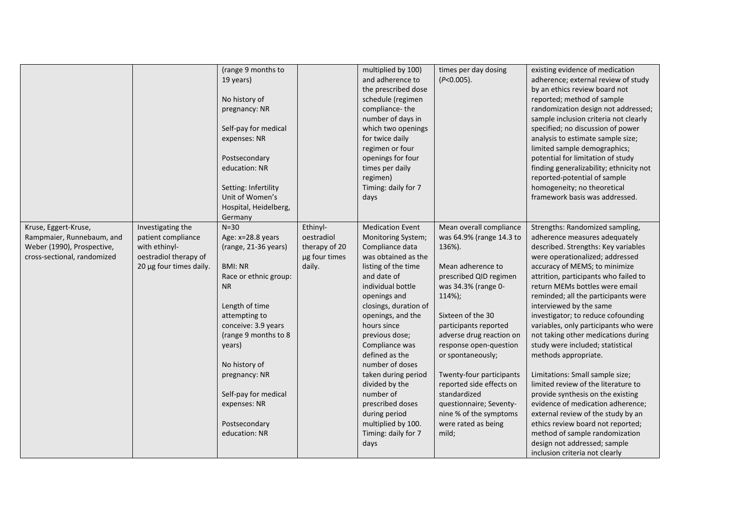|                             |                         | (range 9 months to    |               | multiplied by 100)      | times per day dosing     | existing evidence of medication         |
|-----------------------------|-------------------------|-----------------------|---------------|-------------------------|--------------------------|-----------------------------------------|
|                             |                         | 19 years)             |               | and adherence to        | $(P<0.005)$ .            | adherence; external review of study     |
|                             |                         |                       |               | the prescribed dose     |                          | by an ethics review board not           |
|                             |                         | No history of         |               | schedule (regimen       |                          | reported; method of sample              |
|                             |                         | pregnancy: NR         |               | compliance-the          |                          | randomization design not addressed;     |
|                             |                         |                       |               | number of days in       |                          | sample inclusion criteria not clearly   |
|                             |                         | Self-pay for medical  |               | which two openings      |                          | specified; no discussion of power       |
|                             |                         | expenses: NR          |               | for twice daily         |                          | analysis to estimate sample size;       |
|                             |                         |                       |               | regimen or four         |                          | limited sample demographics;            |
|                             |                         | Postsecondary         |               | openings for four       |                          | potential for limitation of study       |
|                             |                         | education: NR         |               | times per daily         |                          | finding generalizability; ethnicity not |
|                             |                         |                       |               | regimen)                |                          | reported-potential of sample            |
|                             |                         | Setting: Infertility  |               | Timing: daily for 7     |                          | homogeneity; no theoretical             |
|                             |                         | Unit of Women's       |               | days                    |                          | framework basis was addressed.          |
|                             |                         | Hospital, Heidelberg, |               |                         |                          |                                         |
|                             |                         |                       |               |                         |                          |                                         |
|                             |                         | Germany               |               |                         |                          |                                         |
| Kruse, Eggert-Kruse,        | Investigating the       | $N=30$                | Ethinyl-      | <b>Medication Event</b> | Mean overall compliance  | Strengths: Randomized sampling,         |
| Rampmaier, Runnebaum, and   | patient compliance      | Age: x=28.8 years     | oestradiol    | Monitoring System;      | was 64.9% (range 14.3 to | adherence measures adequately           |
| Weber (1990), Prospective,  | with ethinyl-           | (range, 21-36 years)  | therapy of 20 | Compliance data         | 136%).                   | described. Strengths: Key variables     |
| cross-sectional, randomized | oestradiol therapy of   |                       | µg four times | was obtained as the     |                          | were operationalized; addressed         |
|                             | 20 µg four times daily. | <b>BMI: NR</b>        | daily.        | listing of the time     | Mean adherence to        | accuracy of MEMS; to minimize           |
|                             |                         | Race or ethnic group: |               | and date of             | prescribed QID regimen   | attrition, participants who failed to   |
|                             |                         | <b>NR</b>             |               | individual bottle       | was 34.3% (range 0-      | return MEMs bottles were email          |
|                             |                         |                       |               | openings and            | 114%);                   | reminded; all the participants were     |
|                             |                         | Length of time        |               | closings, duration of   |                          | interviewed by the same                 |
|                             |                         | attempting to         |               | openings, and the       | Sixteen of the 30        | investigator; to reduce cofounding      |
|                             |                         | conceive: 3.9 years   |               | hours since             | participants reported    | variables, only participants who were   |
|                             |                         | (range 9 months to 8  |               | previous dose;          | adverse drug reaction on | not taking other medications during     |
|                             |                         | years)                |               | Compliance was          | response open-question   | study were included; statistical        |
|                             |                         |                       |               | defined as the          | or spontaneously;        | methods appropriate.                    |
|                             |                         | No history of         |               | number of doses         |                          |                                         |
|                             |                         | pregnancy: NR         |               | taken during period     | Twenty-four participants | Limitations: Small sample size;         |
|                             |                         |                       |               | divided by the          | reported side effects on | limited review of the literature to     |
|                             |                         | Self-pay for medical  |               | number of               | standardized             | provide synthesis on the existing       |
|                             |                         | expenses: NR          |               | prescribed doses        | questionnaire; Seventy-  | evidence of medication adherence;       |
|                             |                         |                       |               | during period           | nine % of the symptoms   | external review of the study by an      |
|                             |                         | Postsecondary         |               | multiplied by 100.      | were rated as being      | ethics review board not reported;       |
|                             |                         | education: NR         |               | Timing: daily for 7     | mild;                    | method of sample randomization          |
|                             |                         |                       |               | days                    |                          | design not addressed; sample            |
|                             |                         |                       |               |                         |                          | inclusion criteria not clearly          |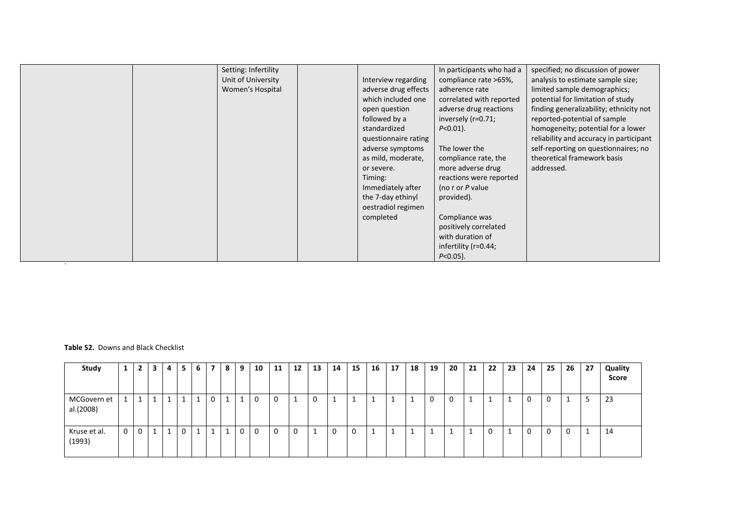| $\lambda$ | Setting: Infertility<br>Unit of University<br>Women's Hospital | Interview regarding<br>adverse drug effects<br>which included one<br>open question<br>followed by a<br>standardized<br>questionnaire rating<br>adverse symptoms<br>as mild, moderate,<br>or severe.<br>Timing:<br>Immediately after<br>the 7-day ethinyl<br>oestradiol regimen<br>completed | In participants who had a<br>compliance rate >65%,<br>adherence rate<br>correlated with reported<br>adverse drug reactions<br>inversely (r=0.71;<br>$P < 0.01$ ).<br>The lower the<br>compliance rate, the<br>more adverse drug<br>reactions were reported<br>(no r or P value<br>provided).<br>Compliance was<br>positively correlated<br>with duration of<br>infertility (r=0.44;<br>$P < 0.05$ ). | specified; no discussion of power<br>analysis to estimate sample size;<br>limited sample demographics;<br>potential for limitation of study<br>finding generalizability; ethnicity not<br>reported-potential of sample<br>homogeneity; potential for a lower<br>reliability and accuracy in participant<br>self-reporting on questionnaires; no<br>theoretical framework basis<br>addressed. |
|-----------|----------------------------------------------------------------|---------------------------------------------------------------------------------------------------------------------------------------------------------------------------------------------------------------------------------------------------------------------------------------------|------------------------------------------------------------------------------------------------------------------------------------------------------------------------------------------------------------------------------------------------------------------------------------------------------------------------------------------------------------------------------------------------------|----------------------------------------------------------------------------------------------------------------------------------------------------------------------------------------------------------------------------------------------------------------------------------------------------------------------------------------------------------------------------------------------|
|-----------|----------------------------------------------------------------|---------------------------------------------------------------------------------------------------------------------------------------------------------------------------------------------------------------------------------------------------------------------------------------------|------------------------------------------------------------------------------------------------------------------------------------------------------------------------------------------------------------------------------------------------------------------------------------------------------------------------------------------------------------------------------------------------------|----------------------------------------------------------------------------------------------------------------------------------------------------------------------------------------------------------------------------------------------------------------------------------------------------------------------------------------------------------------------------------------------|

## **Table S2.** Downs and Black Checklist

| Study                    | ┻ |              | э | 4 | -5 | 6  | 7  | 8 | 9 | 10       | 11 | 12 | 13 | 14       | 15 | 16       | 17 | 18 | 19 | 20 | 21 | 22 | 23 | 24 | 25 | 26 | 27 | Quality<br>Score |
|--------------------------|---|--------------|---|---|----|----|----|---|---|----------|----|----|----|----------|----|----------|----|----|----|----|----|----|----|----|----|----|----|------------------|
| MCGovern et<br>al.(2008) | ┻ | <b>T</b>     |   |   |    | 1  | 0  |   |   | 0        | 0  |    | 0  | <b>.</b> |    | <b>.</b> |    |    | υ  | 0  |    |    |    | 0  | 0  | ÷. | Е  | 23               |
| Kruse et al.<br>(1993)   | 0 | $\mathbf{0}$ |   |   | 0  | -1 | -1 |   | 0 | $\Omega$ | 0  | 0  | ᆠ  | 0        | 0  |          |    |    |    |    |    | 0  |    | 0  | 0  | 0  |    | 14               |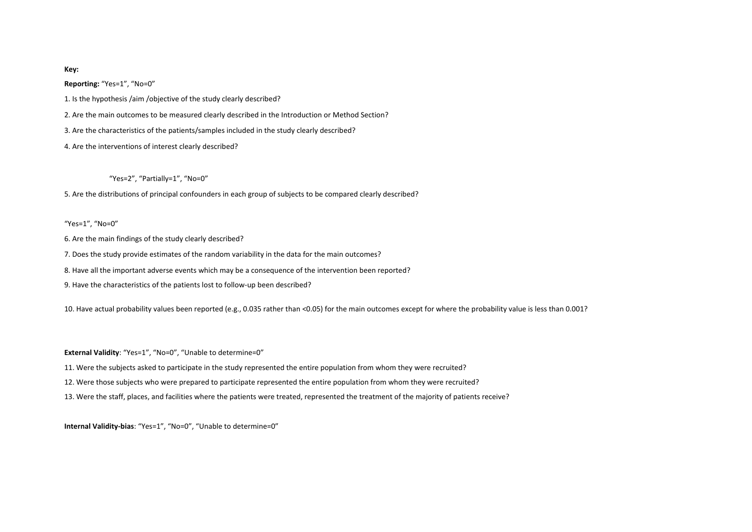### **Key:**

**Reporting:** "Yes=1", "No=0"

1. Is the hypothesis /aim /objective of the study clearly described?

2. Are the main outcomes to be measured clearly described in the Introduction or Method Section?

3. Are the characteristics of the patients/samples included in the study clearly described?

4. Are the interventions of interest clearly described?

"Yes=2", "Partially=1", "No=0"

5. Are the distributions of principal confounders in each group of subjects to be compared clearly described?

"Yes=1", "No=0"

6. Are the main findings of the study clearly described?

7. Does the study provide estimates of the random variability in the data for the main outcomes?

8. Have all the important adverse events which may be a consequence of the intervention been reported?

9. Have the characteristics of the patients lost to follow-up been described?

10. Have actual probability values been reported (e.g., 0.035 rather than <0.05) for the main outcomes except for where the probability value is less than 0.001?

**External Validity**: "Yes=1", "No=0", "Unable to determine=0"

11. Were the subjects asked to participate in the study represented the entire population from whom they were recruited?

12. Were those subjects who were prepared to participate represented the entire population from whom they were recruited?

13. Were the staff, places, and facilities where the patients were treated, represented the treatment of the majority of patients receive?

**Internal Validity-bias**: "Yes=1", "No=0", "Unable to determine=0"